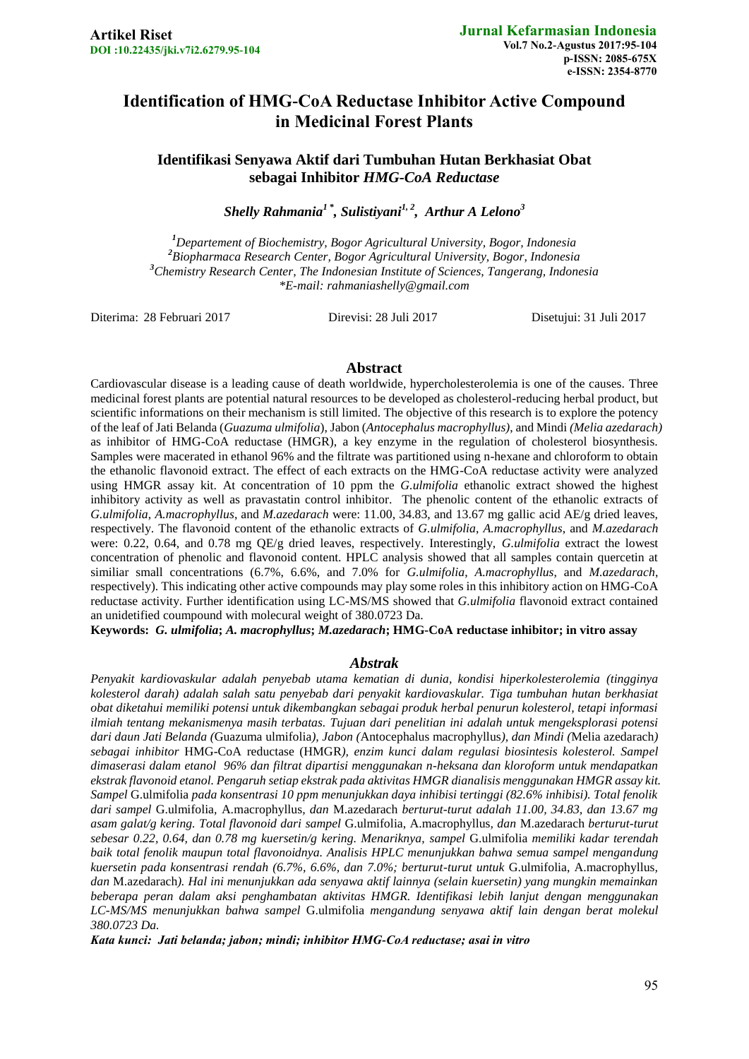# **Identification of HMG-CoA Reductase Inhibitor Active Compound in Medicinal Forest Plants**

**Identifikasi Senyawa Aktif dari Tumbuhan Hutan Berkhasiat Obat sebagai Inhibitor** *HMG-CoA Reductase*

*Shelly Rahmania<sup>1</sup> \* , Sulistiyani1, 2 , Arthur A Lelono<sup>3</sup>*

*Departement of Biochemistry, Bogor Agricultural University, Bogor, Indonesia Biopharmaca Research Center, Bogor Agricultural University, Bogor, Indonesia Chemistry Research Center, The Indonesian Institute of Sciences, Tangerang, Indonesia \*E-mail: [rahmaniashelly@gmail.com](mailto:rahmaniashelly@gmail.com)*

Diterima: 28 Februari 2017 Direvisi: 28 Juli 2017 Disetujui: 31 Juli 2017

#### **Abstract**

Cardiovascular disease is a leading cause of death worldwide, hypercholesterolemia is one of the causes. Three medicinal forest plants are potential natural resources to be developed as cholesterol-reducing herbal product, but scientific informations on their mechanism is still limited. The objective of this research is to explore the potency of the leaf of Jati Belanda (*Guazuma ulmifolia*), Jabon (*Antocephalus macrophyllus)*, and Mindi *(Melia azedarach)* as inhibitor of HMG-CoA reductase (HMGR), a key enzyme in the regulation of cholesterol biosynthesis. Samples were macerated in ethanol 96% and the filtrate was partitioned using n-hexane and chloroform to obtain the ethanolic flavonoid extract. The effect of each extracts on the HMG-CoA reductase activity were analyzed using HMGR assay kit. At concentration of 10 ppm the *G.ulmifolia* ethanolic extract showed the highest inhibitory activity as well as pravastatin control inhibitor. The phenolic content of the ethanolic extracts of *G.ulmifolia*, *A.macrophyllus*, and *M.azedarach* were: 11.00, 34.83, and 13.67 mg gallic acid AE/g dried leaves, respectively. The flavonoid content of the ethanolic extracts of *G.ulmifolia*, *A.macrophyllus*, and *M.azedarach* were: 0.22, 0.64, and 0.78 mg QE/g dried leaves, respectively. Interestingly, *G.ulmifolia* extract the lowest concentration of phenolic and flavonoid content. HPLC analysis showed that all samples contain quercetin at similiar small concentrations (6.7%, 6.6%, and 7.0% for *G.ulmifolia*, *A.macrophyllus*, and *M.azedarach*, respectively). This indicating other active compounds may play some roles in this inhibitory action on HMG-CoA reductase activity. Further identification using LC-MS/MS showed that *G.ulmifolia* flavonoid extract contained an unidetified coumpound with molecural weight of 380.0723 Da.

**Keywords:** *G. ulmifolia***;** *A. macrophyllus***;** *M.azedarach***; HMG-CoA reductase inhibitor; in vitro assay**

#### *Abstrak*

*Penyakit kardiovaskular adalah penyebab utama kematian di dunia, kondisi hiperkolesterolemia (tingginya kolesterol darah) adalah salah satu penyebab dari penyakit kardiovaskular. Tiga tumbuhan hutan berkhasiat obat diketahui memiliki potensi untuk dikembangkan sebagai produk herbal penurun kolesterol, tetapi informasi ilmiah tentang mekanismenya masih terbatas. Tujuan dari penelitian ini adalah untuk mengeksplorasi potensi dari daun Jati Belanda (*Guazuma ulmifolia*), Jabon (*Antocephalus macrophyllus*), dan Mindi (*Melia azedarach*) sebagai inhibitor* HMG-CoA reductase (HMGR*), enzim kunci dalam regulasi biosintesis kolesterol. Sampel dimaserasi dalam etanol 96% dan filtrat dipartisi menggunakan n-heksana dan kloroform untuk mendapatkan ekstrak flavonoid etanol. Pengaruh setiap ekstrak pada aktivitas HMGR dianalisis menggunakan HMGR assay kit. Sampel* G.ulmifolia *pada konsentrasi 10 ppm menunjukkan daya inhibisi tertinggi (82.6% inhibisi). Total fenolik dari sampel* G.ulmifolia*,* A.macrophyllus*, dan* M.azedarach *berturut-turut adalah 11.00, 34.83, dan 13.67 mg asam galat/g kering. Total flavonoid dari sampel* G.ulmifolia, A.macrophyllus*, dan* M.azedarach *berturut-turut sebesar 0.22, 0.64, dan 0.78 mg kuersetin/g kering. Menariknya, sampel* G.ulmifolia *memiliki kadar terendah baik total fenolik maupun total flavonoidnya. Analisis HPLC menunjukkan bahwa semua sampel mengandung kuersetin pada konsentrasi rendah (6.7%, 6.6%, dan 7.0%; berturut-turut untuk* G.ulmifolia, A.macrophyllus*, dan* M.azedarach*). Hal ini menunjukkan ada senyawa aktif lainnya (selain kuersetin) yang mungkin memainkan beberapa peran dalam aksi penghambatan aktivitas HMGR. Identifikasi lebih lanjut dengan menggunakan LC-MS/MS menunjukkan bahwa sampel* G.ulmifolia *mengandung senyawa aktif lain dengan berat molekul 380.0723 Da.*

*Kata kunci: Jati belanda; jabon; mindi; inhibitor HMG-CoA reductase; asai in vitro*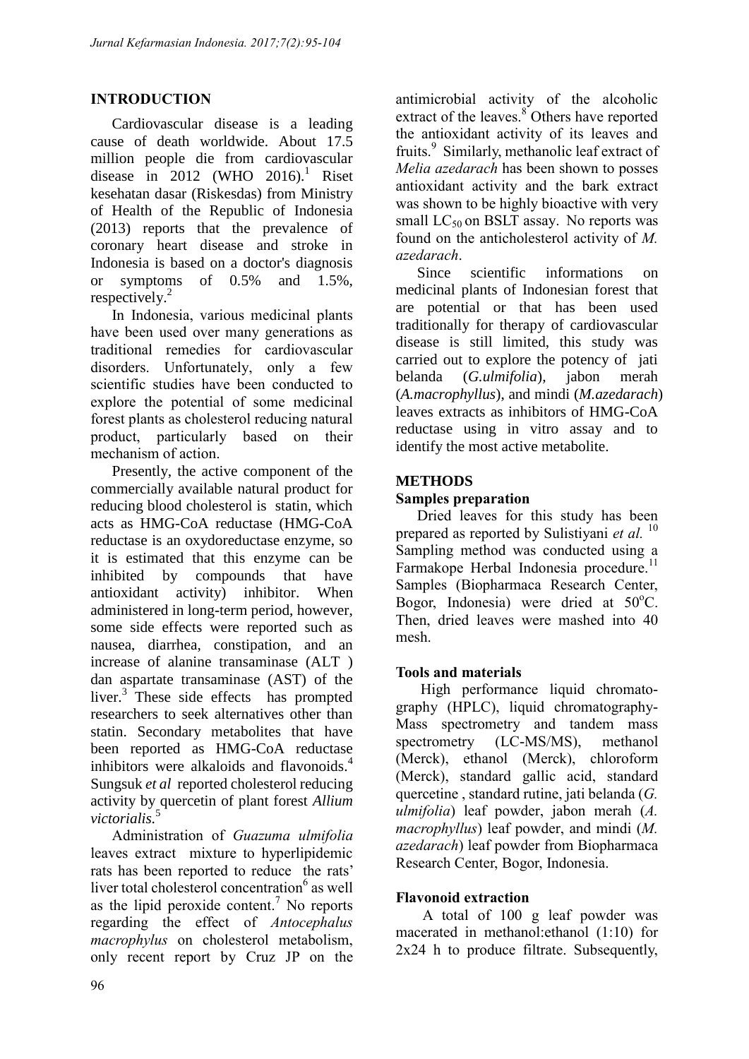## **INTRODUCTION**

Cardiovascular disease is a leading cause of death worldwide. About 17.5 million people die from cardiovascular disease in 2012 (WHO 2016).<sup>1</sup> Riset kesehatan dasar (Riskesdas) from Ministry of Health of the Republic of Indonesia (2013) reports that the prevalence of coronary heart disease and stroke in Indonesia is based on a doctor's diagnosis or symptoms of 0.5% and 1.5%, respectively.<sup>2</sup>

In Indonesia, various medicinal plants have been used over many generations as traditional remedies for cardiovascular disorders. Unfortunately, only a few scientific studies have been conducted to explore the potential of some medicinal forest plants as cholesterol reducing natural product, particularly based on their mechanism of action.

Presently, the active component of the commercially available natural product for reducing blood cholesterol is statin, which acts as HMG-CoA reductase (HMG-CoA reductase is an oxydoreductase enzyme, so it is estimated that this enzyme can be inhibited by compounds that have antioxidant activity) inhibitor. When administered in long-term period, however, some side effects were reported such as nausea, diarrhea, constipation, and an increase of alanine transaminase (ALT ) dan aspartate transaminase (AST) of the liver.<sup>3</sup> These side effects has prompted researchers to seek alternatives other than statin. Secondary metabolites that have been reported as HMG-CoA reductase inhibitors were alkaloids and flavonoids.<sup>4</sup> Sungsuk *et al* reported cholesterol reducing activity by quercetin of plant forest *Allium victorialis.*<sup>5</sup>

Administration of *Guazuma ulmifolia* leaves extract mixture to hyperlipidemic rats has been reported to reduce the rats' liver total cholesterol concentration<sup>6</sup> as well as the lipid peroxide content.<sup>7</sup> No reports regarding the effect of *Antocephalus macrophylus* on cholesterol metabolism, only recent report by Cruz JP on the antimicrobial activity of the alcoholic extract of the leaves. $8^{\circ}$  Others have reported the antioxidant activity of its leaves and fruits. 9 Similarly, methanolic leaf extract of *Melia azedarach* has been shown to posses antioxidant activity and the bark extract was shown to be highly bioactive with very small  $LC_{50}$  on BSLT assay. No reports was found on the anticholesterol activity of *M. azedarach*.

Since scientific informations on medicinal plants of Indonesian forest that are potential or that has been used traditionally for therapy of cardiovascular disease is still limited, this study was carried out to explore the potency of jati belanda (*G.ulmifolia*), jabon merah (*A.macrophyllus*), and mindi (*M.azedarach*) leaves extracts as inhibitors of HMG-CoA reductase using in vitro assay and to identify the most active metabolite.

## **METHODS**

### **Samples preparation**

Dried leaves for this study has been prepared as reported by Sulistiyani *et al.* <sup>10</sup> Sampling method was conducted using a Farmakope Herbal Indonesia procedure.<sup>11</sup> Samples (Biopharmaca Research Center, Bogor, Indonesia) were dried at 50°C. Then, dried leaves were mashed into 40 mesh.

### **Tools and materials**

High performance liquid chromatography (HPLC), liquid chromatography-Mass spectrometry and tandem mass spectrometry (LC-MS/MS), methanol (Merck), ethanol (Merck), chloroform (Merck), standard gallic acid, standard quercetine , standard rutine, jati belanda (*G. ulmifolia*) leaf powder, jabon merah (*A. macrophyllus*) leaf powder, and mindi (*M. azedarach*) leaf powder from Biopharmaca Research Center, Bogor, Indonesia.

### **Flavonoid extraction**

A total of 100 g leaf powder was macerated in methanol:ethanol (1:10) for 2x24 h to produce filtrate. Subsequently,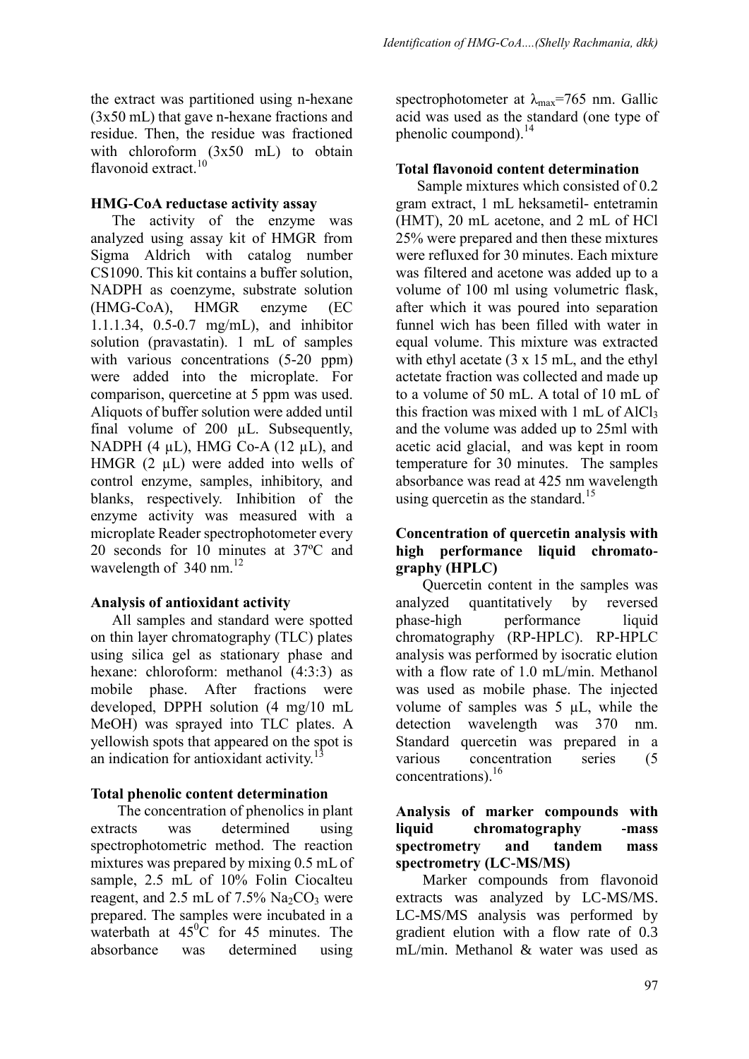the extract was partitioned using n-hexane (3x50 mL) that gave n-hexane fractions and residue. Then, the residue was fractioned with chloroform (3x50 mL) to obtain flavonoid extract.<sup>10</sup>

#### **HMG-CoA reductase activity assay**

The activity of the enzyme was analyzed using assay kit of HMGR from Sigma Aldrich with catalog number CS1090. This kit contains a buffer solution, NADPH as coenzyme, substrate solution (HMG-CoA), HMGR enzyme (EC 1.1.1.34, 0.5-0.7 mg/mL), and inhibitor solution (pravastatin). 1 mL of samples with various concentrations (5-20 ppm) were added into the microplate. For comparison, quercetine at 5 ppm was used. Aliquots of buffer solution were added until final volume of 200 µL. Subsequently, NADPH  $(4 \mu L)$ , HMG Co-A  $(12 \mu L)$ , and HMGR (2  $\mu$ L) were added into wells of control enzyme, samples, inhibitory, and blanks, respectively. Inhibition of the enzyme activity was measured with a microplate Reader spectrophotometer every 20 seconds for 10 minutes at 37ºC and wavelength of  $340 \text{ nm}$ <sup>12</sup>

### **Analysis of antioxidant activity**

All samples and standard were spotted on thin layer chromatography (TLC) plates using silica gel as stationary phase and hexane: chloroform: methanol (4:3:3) as mobile phase. After fractions were developed, DPPH solution (4 mg/10 mL MeOH) was sprayed into TLC plates. A yellowish spots that appeared on the spot is an indication for antioxidant activity.<sup>1</sup>

### **Total phenolic content determination**

The concentration of phenolics in plant extracts was determined using spectrophotometric method. The reaction mixtures was prepared by mixing 0.5 mL of sample, 2.5 mL of 10% Folin Ciocalteu reagent, and  $2.5$  mL of  $7.5\%$  Na<sub>2</sub>CO<sub>3</sub> were prepared. The samples were incubated in a waterbath at  $45^{\circ}$ C for 45 minutes. The absorbance was determined using

spectrophotometer at  $\lambda_{\text{max}}$ =765 nm. Gallic acid was used as the standard (one type of phenolic coumpond).<sup>14</sup>

#### **Total flavonoid content determination**

Sample mixtures which consisted of 0.2 gram extract, 1 mL heksametil- entetramin (HMT), 20 mL acetone, and 2 mL of HCl 25% were prepared and then these mixtures were refluxed for 30 minutes. Each mixture was filtered and acetone was added up to a volume of 100 ml using volumetric flask, after which it was poured into separation funnel wich has been filled with water in equal volume. This mixture was extracted with ethyl acetate  $(3 \times 15 \text{ mL})$ , and the ethyl actetate fraction was collected and made up to a volume of 50 mL. A total of 10 mL of this fraction was mixed with  $1 \text{ mL of } AIC1_3$ and the volume was added up to 25ml with acetic acid glacial, and was kept in room temperature for 30 minutes.The samples absorbance was read at 425 nm wavelength using quercetin as the standard.<sup>15</sup>

### **Concentration of quercetin analysis with high performance liquid chromatography (HPLC)**

Quercetin content in the samples was analyzed quantitatively by reversed phase-high performance liquid chromatography (RP-HPLC). RP-HPLC analysis was performed by isocratic elution with a flow rate of 1.0 mL/min. Methanol was used as mobile phase. The injected volume of samples was  $5 \mu L$ , while the detection wavelength was 370 nm. Standard quercetin was prepared in a various concentration series (5 concentrations). 16

### **Analysis of marker compounds with liquid chromatography -mass spectrometry and tandem mass spectrometry (LC-MS/MS)**

Marker compounds from flavonoid extracts was analyzed by LC-MS/MS. LC-MS/MS analysis was performed by gradient elution with a flow rate of 0.3 mL/min. Methanol & water was used as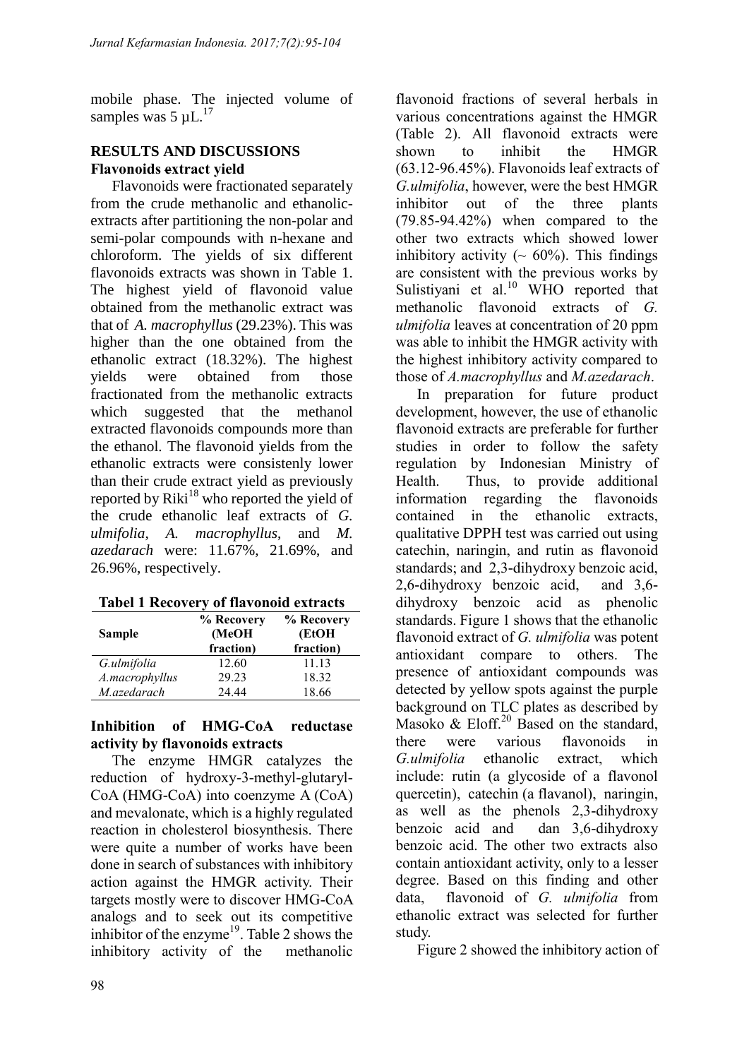mobile phase. The injected volume of samples was  $5 \mu L$ .<sup>17</sup>

## **RESULTS AND DISCUSSIONS Flavonoids extract yield**

Flavonoids were fractionated separately from the crude methanolic and ethanolicextracts after partitioning the non-polar and semi-polar compounds with n-hexane and chloroform. The yields of six different flavonoids extracts was shown in Table 1. The highest yield of flavonoid value obtained from the methanolic extract was that of *A. macrophyllus* (29.23%). This was higher than the one obtained from the ethanolic extract (18.32%). The highest yields were obtained from those fractionated from the methanolic extracts which suggested that the methanol extracted flavonoids compounds more than the ethanol. The flavonoid yields from the ethanolic extracts were consistenly lower than their crude extract yield as previously reported by  $Riki<sup>18</sup>$  who reported the yield of the crude ethanolic leaf extracts of *G. ulmifolia*, *A. macrophyllus*, and *M. azedarach* were: 11.67%, 21.69%, and 26.96%, respectively.

| <b>Sample</b>  | % Recovery<br>(MeOH<br>fraction) | % Recovery<br>(EtOH<br>fraction) |  |  |
|----------------|----------------------------------|----------------------------------|--|--|
| G.ulmifolia    | 12.60                            | 11.13                            |  |  |
| A.macrophyllus | 29.23                            | 18.32                            |  |  |
| M.azedarach    | 24 44                            | 18.66                            |  |  |

### **Inhibition of HMG-CoA reductase activity by flavonoids extracts**

The enzyme HMGR catalyzes the reduction of hydroxy-3-methyl-glutaryl-CoA (HMG-CoA) into coenzyme A (CoA) and mevalonate, which is a highly regulated reaction in cholesterol biosynthesis. There were quite a number of works have been done in search of substances with inhibitory action against the HMGR activity. Their targets mostly were to discover HMG-CoA analogs and to seek out its competitive inhibitor of the enzyme $19$ . Table 2 shows the inhibitory activity of the methanolic

flavonoid fractions of several herbals in various concentrations against the HMGR (Table 2). All flavonoid extracts were shown to inhibit the HMGR (63.12-96.45%). Flavonoids leaf extracts of *G.ulmifolia*, however, were the best HMGR inhibitor out of the three plants (79.85-94.42%) when compared to the other two extracts which showed lower inhibitory activity ( $\sim 60\%$ ). This findings are consistent with the previous works by Sulistiyani et al.<sup>10</sup> WHO reported that methanolic flavonoid extracts of *G. ulmifolia* leaves at concentration of 20 ppm was able to inhibit the HMGR activity with the highest inhibitory activity compared to those of *A.macrophyllus* and *M.azedarach*.

In preparation for future product development, however, the use of ethanolic flavonoid extracts are preferable for further studies in order to follow the safety regulation by Indonesian Ministry of Health. Thus, to provide additional information regarding the flavonoids contained in the ethanolic extracts, qualitative DPPH test was carried out using catechin, naringin, and rutin as flavonoid standards; and 2,3-dihydroxy benzoic acid, 2,6-dihydroxy benzoic acid, and 3,6 dihydroxy benzoic acid as phenolic standards. Figure 1 shows that the ethanolic flavonoid extract of *G. ulmifolia* was potent antioxidant compare to others. The presence of antioxidant compounds was detected by yellow spots against the purple background on TLC plates as described by Masoko  $& \text{Eloff.}^{20}$  Based on the standard, there were various flavonoids in *G.ulmifolia* ethanolic extract, which include: rutin (a glycoside of a flavonol quercetin), catechin (a flavanol), naringin, as well as the phenols 2,3-dihydroxy benzoic acid and dan 3,6-dihydroxy benzoic acid. The other two extracts also contain antioxidant activity, only to a lesser degree. Based on this finding and other data, flavonoid of *G. ulmifolia* from ethanolic extract was selected for further study.

Figure 2 showed the inhibitory action of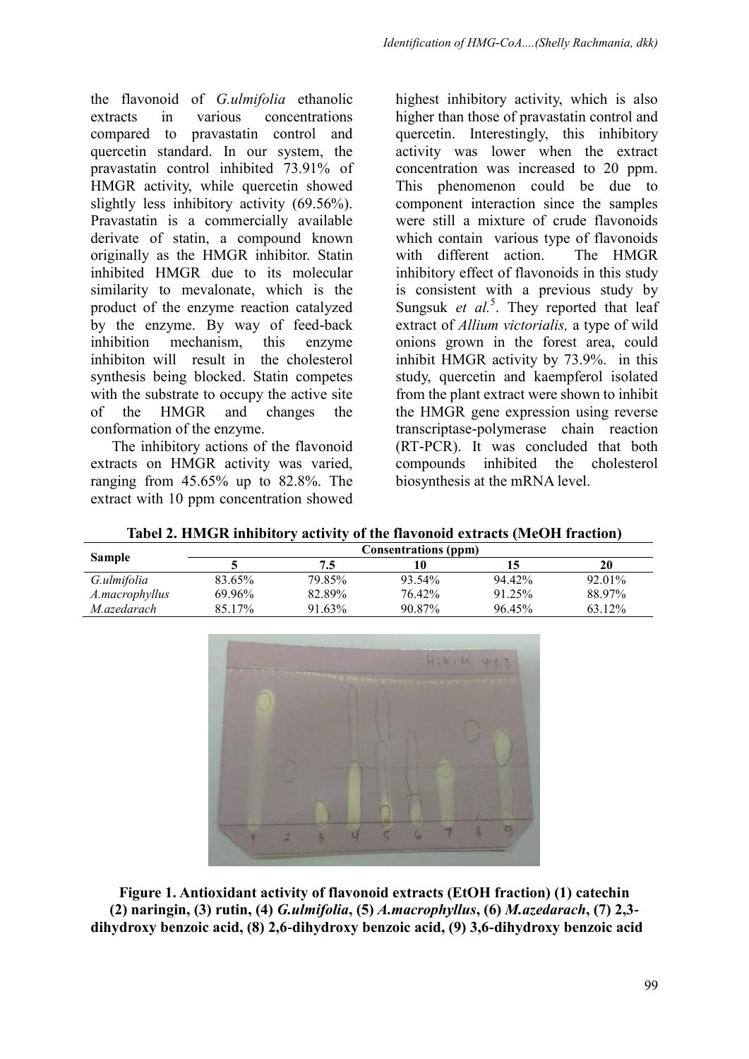the flavonoid of *G.ulmifolia* ethanolic extracts in various concentrations compared to pravastatin control and quercetin standard. In our system, the pravastatin control inhibited 73.91% of HMGR activity, while quercetin showed slightly less inhibitory activity (69.56%). Pravastatin is a commercially available derivate of statin, a compound known originally as the HMGR inhibitor. Statin inhibited HMGR due to its molecular similarity to mevalonate, which is the product of the enzyme reaction catalyzed by the enzyme. By way of feed-back inhibition mechanism, this enzyme inhibiton will result in the cholesterol synthesis being blocked. Statin competes with the substrate to occupy the active site of the HMGR and changes the conformation of the enzyme.

The inhibitory actions of the flavonoid extracts on HMGR activity was varied, ranging from 45.65% up to 82.8%. The extract with 10 ppm concentration showed highest inhibitory activity, which is also higher than those of pravastatin control and quercetin. Interestingly, this inhibitory activity was lower when the extract concentration was increased to 20 ppm. This phenomenon could be due to component interaction since the samples were still a mixture of crude flavonoids which contain various type of flavonoids with different action. The HMGR inhibitory effect of flavonoids in this study is consistent with a previous study by Sungsuk et al.<sup>5</sup>. They reported that leaf extract of *Allium victorialis,* a type of wild onions grown in the forest area, could inhibit HMGR activity by 73.9%. in this study, quercetin and kaempferol isolated from the plant extract were shown to inhibit the HMGR gene expression using reverse transcriptase-polymerase chain reaction (RT-PCR). It was concluded that both compounds inhibited the cholesterol biosynthesis at the mRNA level.

| Tabel 2. HMGR inhibitory activity of the flavonoid extracts (MeOH fraction) |
|-----------------------------------------------------------------------------|
|-----------------------------------------------------------------------------|

|                | <b>Consentrations (ppm)</b> |        |        |        |        |  |
|----------------|-----------------------------|--------|--------|--------|--------|--|
| <b>Sample</b>  |                             | 7.5    | 10     |        | 20     |  |
| G.ulmifolia    | 83.65%                      | 79.85% | 93.54% | 94.42% | 92.01% |  |
| A.macrophyllus | 69.96%                      | 82.89% | 76.42% | 91.25% | 88.97% |  |
| M.azedarach    | 85.17%                      | 91.63% | 90.87% | 96.45% | 63.12% |  |



**Figure 1. Antioxidant activity of flavonoid extracts (EtOH fraction) (1) catechin (2) naringin, (3) rutin, (4)** *G.ulmifolia***, (5)** *A.macrophyllus***, (6)** *M.azedarach***, (7) 2,3 dihydroxy benzoic acid, (8) 2,6-dihydroxy benzoic acid, (9) 3,6-dihydroxy benzoic acid**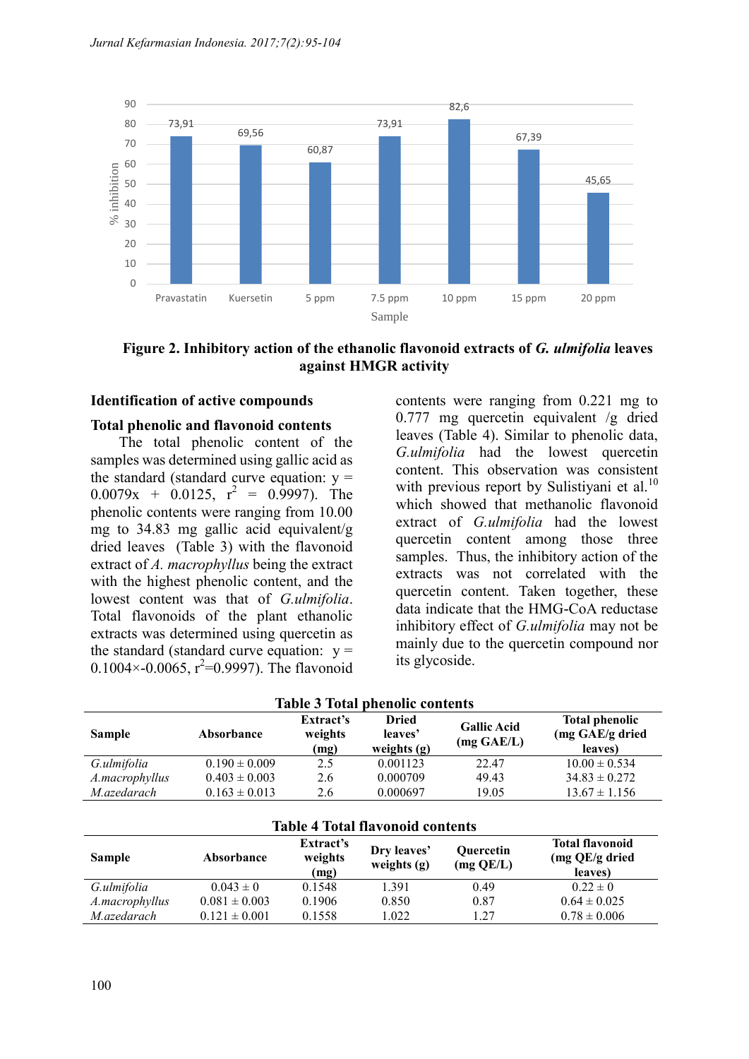

**Figure 2. Inhibitory action of the ethanolic flavonoid extracts of** *G. ulmifolia* **leaves against HMGR activity**

#### **Identification of active compounds**

#### **Total phenolic and flavonoid contents**

The total phenolic content of the samples was determined using gallic acid as the standard (standard curve equation:  $y =$  $0.0079x + 0.0125$ ,  $r^2 = 0.9997$ ). The phenolic contents were ranging from 10.00 mg to 34.83 mg gallic acid equivalent/g dried leaves (Table 3) with the flavonoid extract of *A. macrophyllus* being the extract with the highest phenolic content, and the lowest content was that of *G.ulmifolia*. Total flavonoids of the plant ethanolic extracts was determined using quercetin as the standard (standard curve equation:  $y =$ 0.1004 $\times$ -0.0065, r<sup>2</sup>=0.9997). The flavonoid contents were ranging from 0.221 mg to 0.777 mg quercetin equivalent /g dried leaves (Table 4). Similar to phenolic data, *G.ulmifolia* had the lowest quercetin content. This observation was consistent with previous report by Sulistiyani et al.<sup>10</sup> which showed that methanolic flavonoid extract of *G.ulmifolia* had the lowest quercetin content among those three samples. Thus, the inhibitory action of the extracts was not correlated with the quercetin content. Taken together, these data indicate that the HMG-CoA reductase inhibitory effect of *G.ulmifolia* may not be mainly due to the quercetin compound nor its glycoside.

| <b>Table 3 Total phenolic contents</b> |                   |                              |                                          |                                  |                                                     |
|----------------------------------------|-------------------|------------------------------|------------------------------------------|----------------------------------|-----------------------------------------------------|
| <b>Sample</b>                          | Absorbance        | Extract's<br>weights<br>(mg) | <b>Dried</b><br>leaves'<br>weights $(g)$ | <b>Gallic Acid</b><br>(mg GAE/L) | <b>Total phenolic</b><br>(mg GAE/g dried<br>leaves) |
| G.ulmifolia                            | $0.190 \pm 0.009$ | 2.5                          | 0.001123                                 | 22.47                            | $10.00 \pm 0.534$                                   |
| A.macrophyllus                         | $0.403 \pm 0.003$ | 2.6                          | 0.000709                                 | 49.43                            | $34.83 \pm 0.272$                                   |
| M.azedarach                            | $0.163 \pm 0.013$ | 2.6                          | 0.000697                                 | 19.05                            | $13.67 \pm 1.156$                                   |
|                                        |                   |                              | <b>Table 4 Total flavonoid contents</b>  |                                  |                                                     |
|                                        |                   | $Fv$ tract <sup>2</sup> s    |                                          |                                  | Total flavonoid                                     |

| <b>Table 4 Total flavonoid contents</b> |                   |                              |                              |                        |                                                     |
|-----------------------------------------|-------------------|------------------------------|------------------------------|------------------------|-----------------------------------------------------|
| <b>Sample</b>                           | Absorbance        | Extract's<br>weights<br>(mg) | Dry leaves'<br>weights $(g)$ | Quercetin<br>(mg QE/L) | <b>Total flavonoid</b><br>(mg QE/g dried<br>leaves) |
| G.ulmifolia                             | $0.043 \pm 0$     | 0.1548                       | 1.391                        | 0.49                   | $0.22 \pm 0$                                        |
| A.macrophyllus                          | $0.081 \pm 0.003$ | 0.1906                       | 0.850                        | 0.87                   | $0.64 \pm 0.025$                                    |
| M.azedarach                             | $0.121 \pm 0.001$ | 0.1558                       | 1.022                        | 1.27                   | $0.78 \pm 0.006$                                    |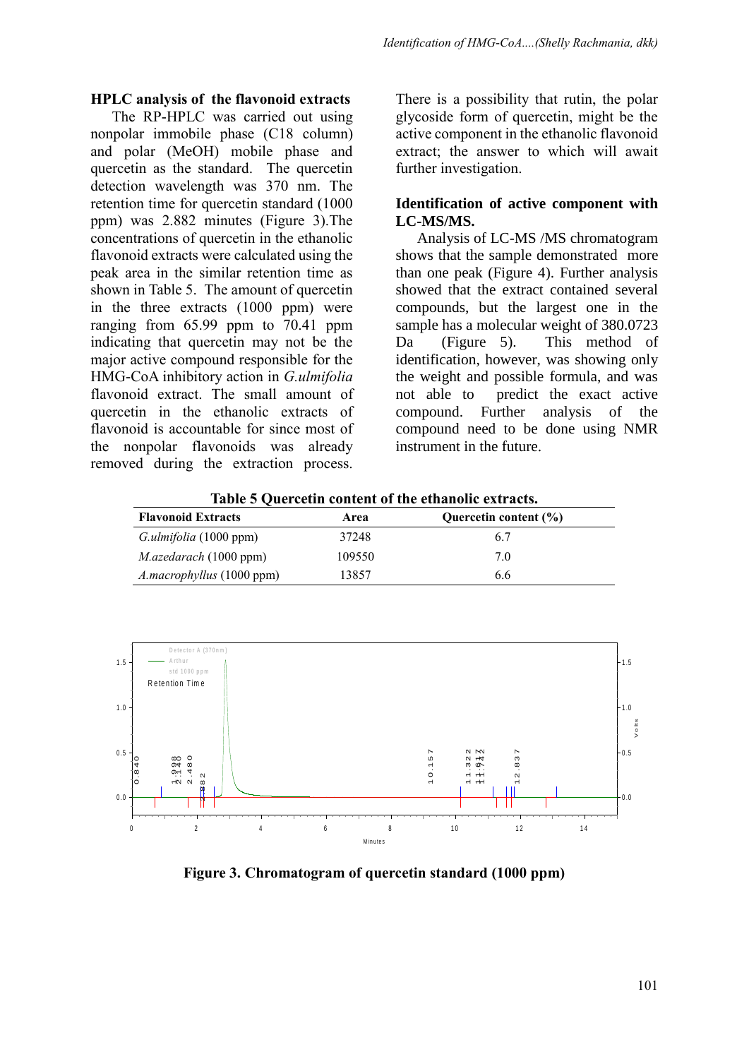#### **HPLC analysis of the flavonoid extracts**

The RP-HPLC was carried out using nonpolar immobile phase (C18 column) and polar (MeOH) mobile phase and quercetin as the standard. The quercetin detection wavelength was 370 nm. The retention time for quercetin standard (1000 ppm) was 2.882 minutes (Figure 3).The concentrations of quercetin in the ethanolic flavonoid extracts were calculated using the peak area in the similar retention time as shown in Table 5. The amount of quercetin in the three extracts (1000 ppm) were ranging from 65.99 ppm to 70.41 ppm indicating that quercetin may not be the major active compound responsible for the HMG-CoA inhibitory action in *G.ulmifolia* flavonoid extract. The small amount of quercetin in the ethanolic extracts of flavonoid is accountable for since most of the nonpolar flavonoids was already removed during the extraction process.

There is a possibility that rutin, the polar glycoside form of quercetin, might be the active component in the ethanolic flavonoid extract; the answer to which will await further investigation.

#### **Identification of active component with LC-MS/MS.**

Analysis of LC-MS /MS chromatogram shows that the sample demonstrated more than one peak (Figure 4). Further analysis showed that the extract contained several compounds, but the largest one in the sample has a molecular weight of 380.0723 Da (Figure 5). This method of identification, however, was showing only the weight and possible formula, and was not able to predict the exact active compound. Further analysis of the compound need to be done using NMR instrument in the future.

| Area   | Quercetin content (%) |  |  |  |
|--------|-----------------------|--|--|--|
| 37248  | 6.7                   |  |  |  |
| 109550 | 70                    |  |  |  |
| 13857  | 6.6                   |  |  |  |
|        |                       |  |  |  |

**Table 5 Quercetin content of the ethanolic extracts.**



**Figure 3. Chromatogram of quercetin standard (1000 ppm)**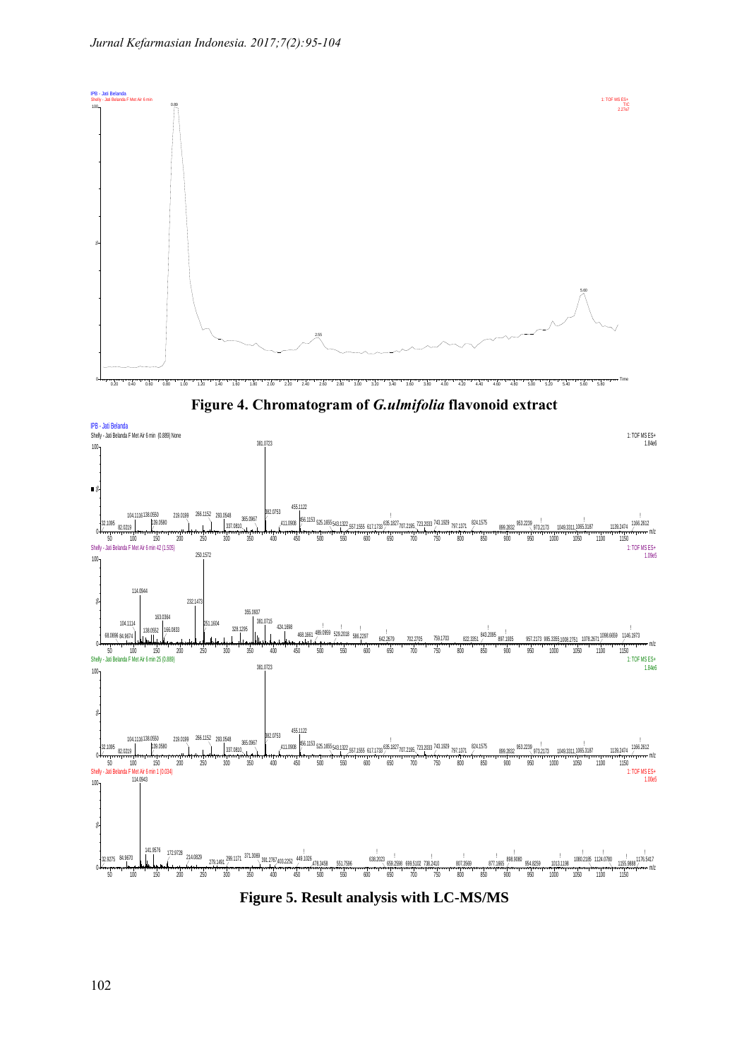

**Figure 4. Chromatogram of** *G.ulmifolia* **flavonoid extract**

![](_page_7_Figure_3.jpeg)

**Figure 5. Result analysis with LC-MS/MS**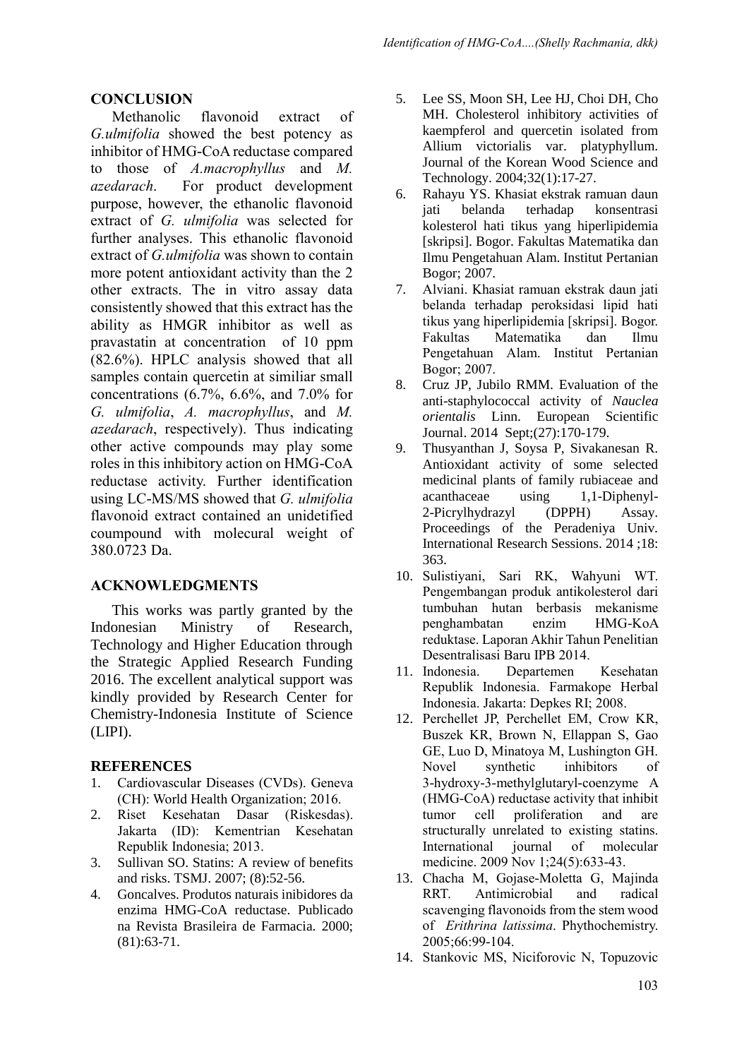#### **CONCLUSION**

Methanolic flavonoid extract of *G.ulmifolia* showed the best potency as inhibitor of HMG-CoA reductase compared to those of *A.macrophyllus* and *M. azedarach*. For product development purpose, however, the ethanolic flavonoid extract of *G. ulmifolia* was selected for further analyses. This ethanolic flavonoid extract of *G.ulmifolia* was shown to contain more potent antioxidant activity than the 2 other extracts. The in vitro assay data consistently showed that this extract has the ability as HMGR inhibitor as well as pravastatin at concentration of 10 ppm (82.6%). HPLC analysis showed that all samples contain quercetin at similiar small concentrations (6.7%, 6.6%, and 7.0% for *G. ulmifolia*, *A. macrophyllus*, and *M. azedarach*, respectively). Thus indicating other active compounds may play some roles in this inhibitory action on HMG-CoA reductase activity. Further identification using LC-MS/MS showed that *G. ulmifolia* flavonoid extract contained an unidetified coumpound with molecural weight of 380.0723 Da.

#### **ACKNOWLEDGMENTS**

This works was partly granted by the Indonesian Ministry of Research, Technology and Higher Education through the Strategic Applied Research Funding 2016. The excellent analytical support was kindly provided by Research Center for Chemistry-Indonesia Institute of Science (LIPI).

#### **REFERENCES**

- 1. Cardiovascular Diseases (CVDs). Geneva (CH): World Health Organization; 2016.
- 2. Riset Kesehatan Dasar (Riskesdas). Jakarta (ID): Kementrian Kesehatan Republik Indonesia; 2013.
- 3. Sullivan SO. Statins: A review of benefits and risks. TSMJ. 2007; (8):52-56.
- 4. Goncalves. Produtos naturais inibidores da enzima HMG-CoA reductase. Publicado na Revista Brasileira de Farmacia. 2000; (81):63-71.
- 5. Lee SS, Moon SH, Lee HJ, Choi DH, Cho MH. Cholesterol inhibitory activities of kaempferol and quercetin isolated from Allium victorialis var. platyphyllum. Journal of the Korean Wood Science and Technology. 2004;32(1):17-27.
- 6. Rahayu YS. Khasiat ekstrak ramuan daun jati belanda terhadap konsentrasi kolesterol hati tikus yang hiperlipidemia [skripsi]. Bogor. Fakultas Matematika dan Ilmu Pengetahuan Alam. Institut Pertanian Bogor; 2007.
- 7. Alviani. Khasiat ramuan ekstrak daun jati belanda terhadap peroksidasi lipid hati tikus yang hiperlipidemia [skripsi]. Bogor. Matematika Pengetahuan Alam. Institut Pertanian Bogor; 2007.
- 8. Cruz JP, Jubilo RMM. Evaluation of the anti-staphylococcal activity of *Nauclea orientalis* Linn. European Scientific Journal. 2014 Sept;(27):170-179.
- 9. Thusyanthan J, Soysa P, Sivakanesan R. Antioxidant activity of some selected medicinal plants of family rubiaceae and acanthaceae using 1,1-Diphenyl-2-Picrylhydrazyl (DPPH) Assay. Proceedings of the Peradeniya Univ. International Research Sessions. 2014 ;18: 363.
- 10. Sulistiyani, Sari RK, Wahyuni WT. Pengembangan produk antikolesterol dari tumbuhan hutan berbasis mekanisme penghambatan enzim HMG-KoA reduktase. Laporan Akhir Tahun Penelitian Desentralisasi Baru IPB 2014.
- 11. Indonesia. Departemen Kesehatan Republik Indonesia. Farmakope Herbal Indonesia. Jakarta: Depkes RI; 2008.
- 12. Perchellet JP, Perchellet EM, Crow KR, Buszek KR, Brown N, Ellappan S, Gao GE, Luo D, Minatoya M, Lushington GH. Novel synthetic inhibitors of 3-hydroxy-3-methylglutaryl-coenzyme A (HMG-CoA) reductase activity that inhibit tumor cell proliferation and are structurally unrelated to existing statins. International journal of molecular medicine. 2009 Nov 1;24(5):633-43.
- 13. Chacha M, Gojase-Moletta G, Majinda RRT. Antimicrobial and radical scavenging flavonoids from the stem wood of *Erithrina latissima*. Phythochemistry. 2005;66:99-104.
- 14. Stankovic MS, Niciforovic N, Topuzovic